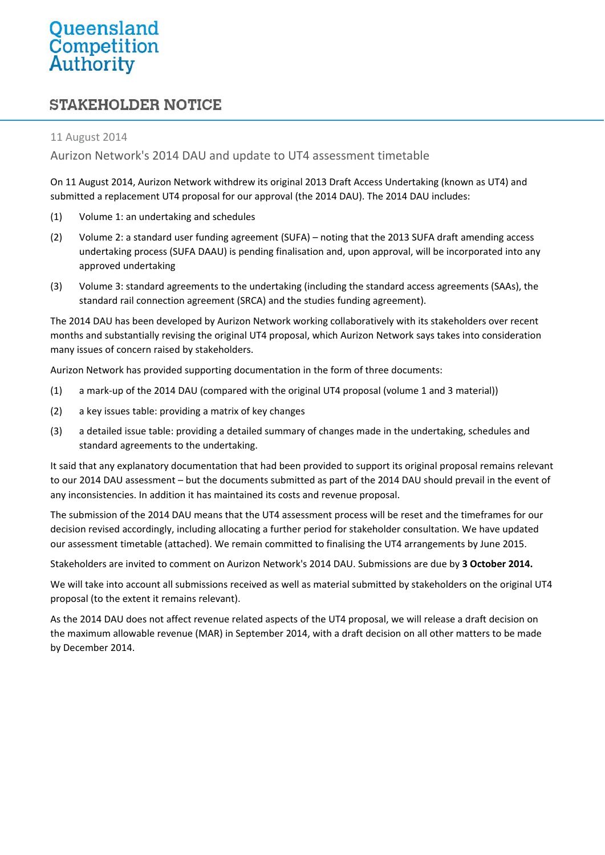## **STAKEHOLDER NOTICE**

## 11 August 2014

## Aurizon Network's 2014 DAU and update to UT4 assessment timetable

On 11 August 2014, Aurizon Network withdrew its original 2013 Draft Access Undertaking (known as UT4) and submitted a replacement UT4 proposal for our approval (the 2014 DAU). The 2014 DAU includes:

- (1) Volume 1: an undertaking and schedules
- (2) Volume 2: a standard user funding agreement (SUFA) noting that the 2013 SUFA draft amending access undertaking process (SUFA DAAU) is pending finalisation and, upon approval, will be incorporated into any approved undertaking
- (3) Volume 3: standard agreements to the undertaking (including the standard access agreements (SAAs), the standard rail connection agreement (SRCA) and the studies funding agreement).

The 2014 DAU has been developed by Aurizon Network working collaboratively with its stakeholders over recent months and substantially revising the original UT4 proposal, which Aurizon Network says takes into consideration many issues of concern raised by stakeholders.

Aurizon Network has provided supporting documentation in the form of three documents:

- (1) a mark‐up of the 2014 DAU (compared with the original UT4 proposal (volume 1 and 3 material))
- (2) a key issues table: providing a matrix of key changes
- (3) a detailed issue table: providing a detailed summary of changes made in the undertaking, schedules and standard agreements to the undertaking.

It said that any explanatory documentation that had been provided to support its original proposal remains relevant to our 2014 DAU assessment – but the documents submitted as part of the 2014 DAU should prevail in the event of any inconsistencies. In addition it has maintained its costs and revenue proposal.

The submission of the 2014 DAU means that the UT4 assessment process will be reset and the timeframes for our decision revised accordingly, including allocating a further period for stakeholder consultation. We have updated our assessment timetable (attached). We remain committed to finalising the UT4 arrangements by June 2015.

Stakeholders are invited to comment on Aurizon Network's 2014 DAU. Submissions are due by **3 October 2014.**

We will take into account all submissions received as well as material submitted by stakeholders on the original UT4 proposal (to the extent it remains relevant).

As the 2014 DAU does not affect revenue related aspects of the UT4 proposal, we will release a draft decision on the maximum allowable revenue (MAR) in September 2014, with a draft decision on all other matters to be made by December 2014.